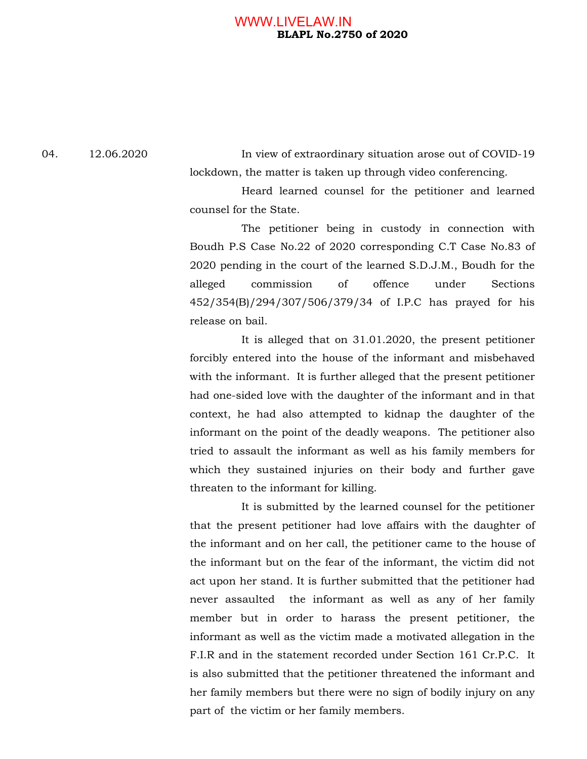## **BLAPL No.2750 of 2020**  WWW.LIVELAW.IN

04. 12.06.2020 In view of extraordinary situation arose out of COVID-19 lockdown, the matter is taken up through video conferencing.

> Heard learned counsel for the petitioner and learned counsel for the State.

> The petitioner being in custody in connection with Boudh P.S Case No.22 of 2020 corresponding C.T Case No.83 of 2020 pending in the court of the learned S.D.J.M., Boudh for the alleged commission of offence under Sections 452/354(B)/294/307/506/379/34 of I.P.C has prayed for his release on bail.

> It is alleged that on 31.01.2020, the present petitioner forcibly entered into the house of the informant and misbehaved with the informant. It is further alleged that the present petitioner had one-sided love with the daughter of the informant and in that context, he had also attempted to kidnap the daughter of the informant on the point of the deadly weapons. The petitioner also tried to assault the informant as well as his family members for which they sustained injuries on their body and further gave threaten to the informant for killing.

> It is submitted by the learned counsel for the petitioner that the present petitioner had love affairs with the daughter of the informant and on her call, the petitioner came to the house of the informant but on the fear of the informant, the victim did not act upon her stand. It is further submitted that the petitioner had never assaulted the informant as well as any of her family member but in order to harass the present petitioner, the informant as well as the victim made a motivated allegation in the F.I.R and in the statement recorded under Section 161 Cr.P.C. It is also submitted that the petitioner threatened the informant and her family members but there were no sign of bodily injury on any part of the victim or her family members.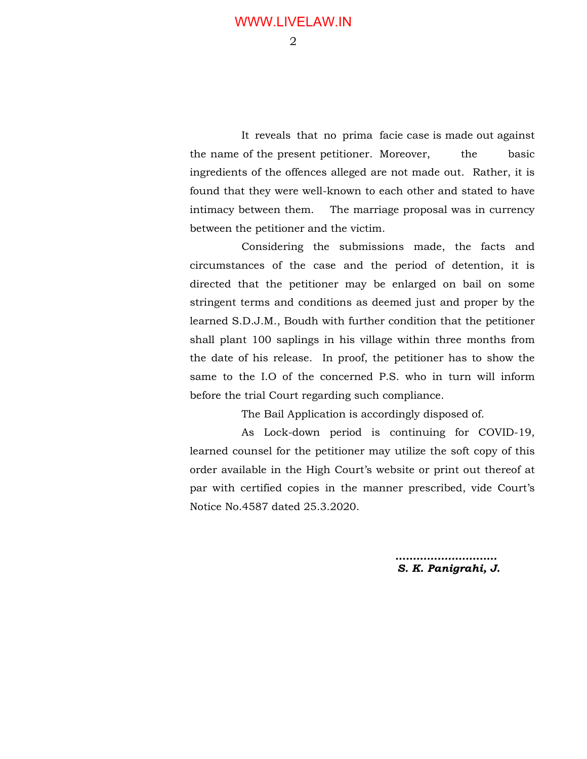2

 It reveals that no prima facie case is made out against the name of the present petitioner. Moreover, the basic ingredients of the offences alleged are not made out. Rather, it is found that they were well-known to each other and stated to have intimacy between them. The marriage proposal was in currency between the petitioner and the victim.

 Considering the submissions made, the facts and circumstances of the case and the period of detention, it is directed that the petitioner may be enlarged on bail on some stringent terms and conditions as deemed just and proper by the learned S.D.J.M., Boudh with further condition that the petitioner shall plant 100 saplings in his village within three months from the date of his release. In proof, the petitioner has to show the same to the I.O of the concerned P.S. who in turn will inform before the trial Court regarding such compliance.

The Bail Application is accordingly disposed of.

 As Lock-down period is continuing for COVID-19, learned counsel for the petitioner may utilize the soft copy of this order available in the High Court's website or print out thereof at par with certified copies in the manner prescribed, vide Court's Notice No.4587 dated 25.3.2020.

> *……………………….. S. K. Panigrahi, J.*